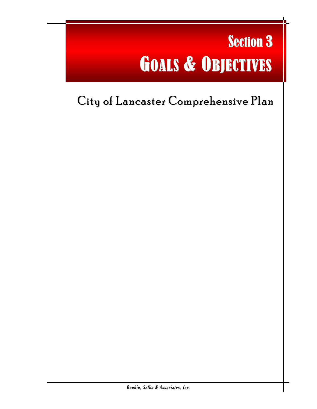# Section 3 GOALS & OBJECTIVES

l

## City of Lancaster Comprehensive Plan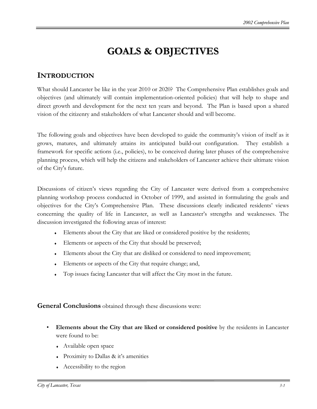## **GOALS & OBJECTIVES**

## **INTRODUCTION**

What should Lancaster be like in the year 2010 or 2020? The Comprehensive Plan establishes goals and objectives (and ultimately will contain implementation-oriented policies) that will help to shape and direct growth and development for the next ten years and beyond. The Plan is based upon a shared vision of the citizenry and stakeholders of what Lancaster should and will become.

The following goals and objectives have been developed to guide the community's vision of itself as it grows, matures, and ultimately attains its anticipated build-out configuration. They establish a framework for specific actions (i.e., policies), to be conceived during later phases of the comprehensive planning process, which will help the citizens and stakeholders of Lancaster achieve their ultimate vision of the City's future.

Discussions of citizen's views regarding the City of Lancaster were derived from a comprehensive planning workshop process conducted in October of 1999, and assisted in formulating the goals and objectives for the City's Comprehensive Plan. These discussions clearly indicated residents' views concerning the quality of life in Lancaster, as well as Lancaster's strengths and weaknesses. The discussion investigated the following areas of interest:

- Elements about the City that are liked or considered positive by the residents;
- ♦ Elements or aspects of the City that should be preserved;
- Elements about the City that are disliked or considered to need improvement;
- Elements or aspects of the City that require change; and,
- Top issues facing Lancaster that will affect the City most in the future.

**General Conclusions** obtained through these discussions were:

- **Elements about the City that are liked or considered positive** by the residents in Lancaster were found to be:
	- ♦ Available open space
	- ♦ Proximity to Dallas & it's amenities
	- $\triangle$  Accessibility to the region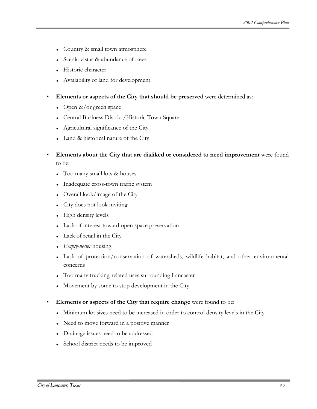- Country & small town atmosphere
- Scenic vistas & abundance of trees
- **Historic character**
- ♦ Availability of land for development
- **Elements or aspects of the City that should be preserved** were determined as:
	- $\leftrightarrow$  Open &/or green space
	- ♦ Central Business District/Historic Town Square
	- ♦ Agricultural significance of the City
	- Land & historical nature of the City
- **Elements about the City that are disliked or considered to need improvement** were found to be:
	- ♦ Too many small lots & houses
	- Inadequate cross-town traffic system
	- Overall look/image of the City
	- $\bullet$  City does not look inviting
	- $\leftarrow$  High density levels
	- Lack of interest toward open space preservation
	- Lack of retail in the City
	- *Empty-nester* housing
	- ♦ Lack of protection/conservation of watersheds, wildlife habitat, and other environmental concerns
	- ♦ Too many trucking-related uses surrounding Lancaster
	- Movement by some to stop development in the City
- **Elements or aspects of the City that require change** were found to be:
	- Minimum lot sizes need to be increased in order to control density levels in the City
	- Need to move forward in a positive manner
	- ♦ Drainage issues need to be addressed
	- School district needs to be improved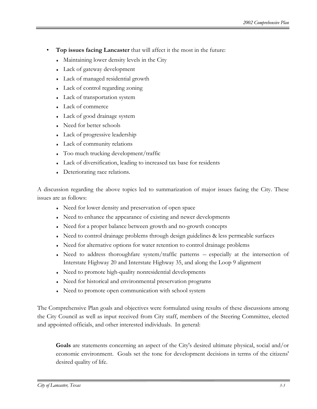- **Top issues facing Lancaster** that will affect it the most in the future:
	- ♦ Maintaining lower density levels in the City
	- Lack of gateway development
	- ♦ Lack of managed residential growth
	- Lack of control regarding zoning
	- Lack of transportation system
	- Lack of commerce
	- Lack of good drainage system
	- Need for better schools
	- $\bullet$  Lack of progressive leadership
	- Lack of community relations
	- Too much trucking development/traffic
	- ♦ Lack of diversification, leading to increased tax base for residents
	- Deteriorating race relations.

A discussion regarding the above topics led to summarization of major issues facing the City. These issues are as follows:

- Need for lower density and preservation of open space
- Need to enhance the appearance of existing and newer developments
- Need for a proper balance between growth and no-growth concepts
- Need to control drainage problems through design guidelines & less permeable surfaces
- Need for alternative options for water retention to control drainage problems
- $\bullet$  Need to address thoroughfare system/traffic patterns  $-$  especially at the intersection of Interstate Highway 20 and Interstate Highway 35, and along the Loop 9 alignment
- ♦ Need to promote high-quality nonresidential developments
- Need for historical and environmental preservation programs
- Need to promote open communication with school system

The Comprehensive Plan goals and objectives were formulated using results of these discussions among the City Council as well as input received from City staff, members of the Steering Committee, elected and appointed officials, and other interested individuals. In general:

**Goals** are statements concerning an aspect of the City's desired ultimate physical, social and/or economic environment. Goals set the tone for development decisions in terms of the citizens' desired quality of life.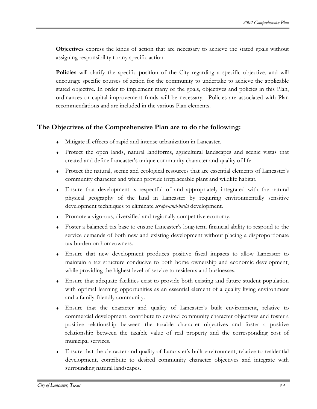**Objectives** express the kinds of action that are necessary to achieve the stated goals without assigning responsibility to any specific action.

**Policies** will clarify the specific position of the City regarding a specific objective, and will encourage specific courses of action for the community to undertake to achieve the applicable stated objective. In order to implement many of the goals, objectives and policies in this Plan, ordinances or capital improvement funds will be necessary. Policies are associated with Plan recommendations and are included in the various Plan elements.

### **The Objectives of the Comprehensive Plan are to do the following:**

- ♦ Mitigate ill effects of rapid and intense urbanization in Lancaster.
- ♦ Protect the open lands, natural landforms, agricultural landscapes and scenic vistas that created and define Lancaster's unique community character and quality of life.
- ♦ Protect the natural, scenic and ecological resources that are essential elements of Lancaster's community character and which provide irreplaceable plant and wildlife habitat.
- ♦ Ensure that development is respectful of and appropriately integrated with the natural physical geography of the land in Lancaster by requiring environmentally sensitive development techniques to eliminate *scrape-and-build* development.
- ♦ Promote a vigorous, diversified and regionally competitive economy.
- ♦ Foster a balanced tax base to ensure Lancaster's long-term financial ability to respond to the service demands of both new and existing development without placing a disproportionate tax burden on homeowners.
- ♦ Ensure that new development produces positive fiscal impacts to allow Lancaster to maintain a tax structure conducive to both home ownership and economic development, while providing the highest level of service to residents and businesses.
- ♦ Ensure that adequate facilities exist to provide both existing and future student population with optimal learning opportunities as an essential element of a quality living environment and a family-friendly community.
- ♦ Ensure that the character and quality of Lancaster's built environment, relative to commercial development, contribute to desired community character objectives and foster a positive relationship between the taxable character objectives and foster a positive relationship between the taxable value of real property and the corresponding cost of municipal services.
- ♦ Ensure that the character and quality of Lancaster's built environment, relative to residential development, contribute to desired community character objectives and integrate with surrounding natural landscapes.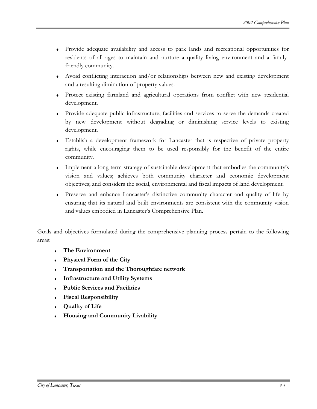- ♦ Provide adequate availability and access to park lands and recreational opportunities for residents of all ages to maintain and nurture a quality living environment and a familyfriendly community.
- ♦ Avoid conflicting interaction and/or relationships between new and existing development and a resulting diminution of property values.
- ♦ Protect existing farmland and agricultural operations from conflict with new residential development.
- ♦ Provide adequate public infrastructure, facilities and services to serve the demands created by new development without degrading or diminishing service levels to existing development.
- ♦ Establish a development framework for Lancaster that is respective of private property rights, while encouraging them to be used responsibly for the benefit of the entire community.
- ♦ Implement a long-term strategy of sustainable development that embodies the community's vision and values; achieves both community character and economic development objectives; and considers the social, environmental and fiscal impacts of land development.
- ♦ Preserve and enhance Lancaster's distinctive community character and quality of life by ensuring that its natural and built environments are consistent with the community vision and values embodied in Lancaster's Comprehensive Plan.

Goals and objectives formulated during the comprehensive planning process pertain to the following areas:

- **The Environment**
- **Physical Form of the City**
- **Transportation and the Thoroughfare network**
- **Infrastructure and Utility Systems**
- ♦ **Public Services and Facilities**
- **Fiscal Responsibility**
- **Quality of Life**
- ♦ **Housing and Community Livability**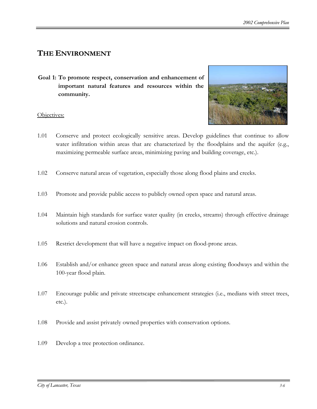## **THE ENVIRONMENT**

**Goal 1: To promote respect, conservation and enhancement of important natural features and resources within the community.** 



- 1.01 Conserve and protect ecologically sensitive areas. Develop guidelines that continue to allow water infiltration within areas that are characterized by the floodplains and the aquifer (e.g., maximizing permeable surface areas, minimizing paving and building coverage, etc.).
- 1.02 Conserve natural areas of vegetation, especially those along flood plains and creeks.
- 1.03 Promote and provide public access to publicly owned open space and natural areas.
- 1.04 Maintain high standards for surface water quality (in creeks, streams) through effective drainage solutions and natural erosion controls.
- 1.05 Restrict development that will have a negative impact on flood-prone areas.
- 1.06 Establish and/or enhance green space and natural areas along existing floodways and within the 100-year flood plain.
- 1.07 Encourage public and private streetscape enhancement strategies (i.e., medians with street trees, etc.).
- 1.08 Provide and assist privately owned properties with conservation options.
- 1.09 Develop a tree protection ordinance.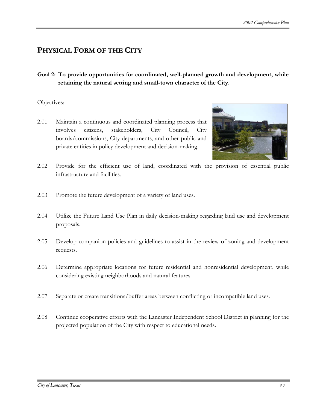## **PHYSICAL FORM OF THE CITY**

**Goal 2: To provide opportunities for coordinated, well-planned growth and development, while retaining the natural setting and small-town character of the City.**

#### Objectives:

2.01 Maintain a continuous and coordinated planning process that involves citizens, stakeholders, City Council, City boards/commissions, City departments, and other public and private entities in policy development and decision-making.



- 2.02 Provide for the efficient use of land, coordinated with the provision of essential public infrastructure and facilities.
- 2.03 Promote the future development of a variety of land uses.
- 2.04 Utilize the Future Land Use Plan in daily decision-making regarding land use and development proposals.
- 2.05 Develop companion policies and guidelines to assist in the review of zoning and development requests.
- 2.06 Determine appropriate locations for future residential and nonresidential development, while considering existing neighborhoods and natural features.
- 2.07 Separate or create transitions/buffer areas between conflicting or incompatible land uses.
- 2.08 Continue cooperative efforts with the Lancaster Independent School District in planning for the projected population of the City with respect to educational needs.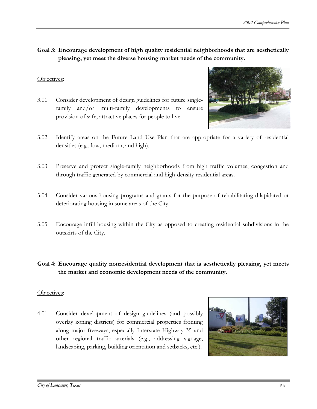**Goal 3: Encourage development of high quality residential neighborhoods that are aesthetically pleasing, yet meet the diverse housing market needs of the community.**

#### Objectives:

3.01 Consider development of design guidelines for future singlefamily and/or multi-family developments to ensure provision of safe, attractive places for people to live.



- 3.02 Identify areas on the Future Land Use Plan that are appropriate for a variety of residential densities (e.g., low, medium, and high).
- 3.03 Preserve and protect single-family neighborhoods from high traffic volumes, congestion and through traffic generated by commercial and high-density residential areas.
- 3.04 Consider various housing programs and grants for the purpose of rehabilitating dilapidated or deteriorating housing in some areas of the City.
- 3.05 Encourage infill housing within the City as opposed to creating residential subdivisions in the outskirts of the City.
- **Goal 4: Encourage quality nonresidential development that is aesthetically pleasing, yet meets the market and economic development needs of the community.**

#### Objectives:

4.01 Consider development of design guidelines (and possibly overlay zoning districts) for commercial properties fronting along major freeways, especially Interstate Highway 35 and other regional traffic arterials (e.g., addressing signage, landscaping, parking, building orientation and setbacks, etc.).

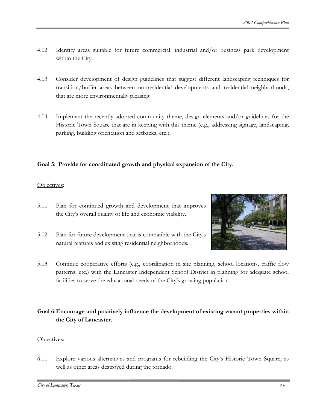- 4.02 Identify areas suitable for future commercial, industrial and/or business park development within the City.
- 4.03 Consider development of design guidelines that suggest different landscaping techniques for transition/buffer areas between nonresidential developments and residential neighborhoods, that are more environmentally pleasing.
- 4.04 Implement the recently adopted community theme, design elements and/or guidelines for the Historic Town Square that are in keeping with this theme (e.g., addressing signage, landscaping, parking, building orientation and setbacks, etc.).

#### **Goal 5: Provide for coordinated growth and physical expansion of the City.**

#### Objectives:

- 5.01 Plan for continued growth and development that improves the City's overall quality of life and economic viability.
- 5.02 Plan for future development that is compatible with the City's natural features and existing residential neighborhoods.



5.03 Continue cooperative efforts (e.g., coordination in site planning, school locations, traffic flow patterns, etc.) with the Lancaster Independent School District in planning for adequate school facilities to serve the educational needs of the City's growing population.

#### **Goal 6: Encourage and positively influence the development of existing vacant properties within the City of Lancaster.**

#### Objectives:

6.01 Explore various alternatives and programs for rebuilding the City's Historic Town Square, as well as other areas destroyed during the tornado.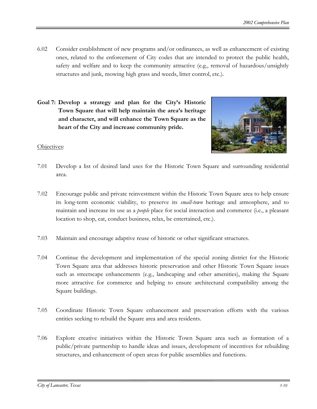- 6.02 Consider establishment of new programs and/or ordinances, as well as enhancement of existing ones, related to the enforcement of City codes that are intended to protect the public health, safety and welfare and to keep the community attractive (e.g., removal of hazardous/unsightly structures and junk, mowing high grass and weeds, litter control, etc.).
- **Goal 7: Develop a strategy and plan for the City's Historic Town Square that will help maintain the area's heritage and character, and will enhance the Town Square as the heart of the City and increase community pride.**



- 7.01 Develop a list of desired land uses for the Historic Town Square and surrounding residential area.
- 7.02 Encourage public and private reinvestment within the Historic Town Square area to help ensure its long-term economic viability, to preserve its *small-town* heritage and atmosphere, and to maintain and increase its use as a *people* place for social interaction and commerce (i.e., a pleasant location to shop, eat, conduct business, relax, be entertained, etc.).
- 7.03 Maintain and encourage adaptive reuse of historic or other significant structures.
- 7.04 Continue the development and implementation of the special zoning district for the Historic Town Square area that addresses historic preservation and other Historic Town Square issues such as streetscape enhancements (e.g., landscaping and other amenities), making the Square more attractive for commerce and helping to ensure architectural compatibility among the Square buildings.
- 7.05 Coordinate Historic Town Square enhancement and preservation efforts with the various entities seeking to rebuild the Square area and area residents.
- 7.06 Explore creative initiatives within the Historic Town Square area such as formation of a public/private partnership to handle ideas and issues, development of incentives for rebuilding structures, and enhancement of open areas for public assemblies and functions.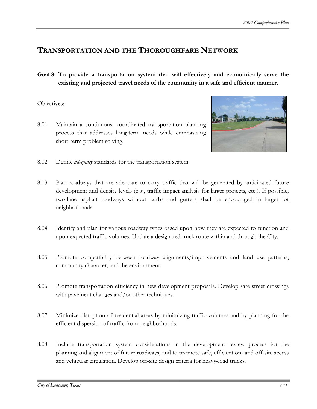## **TRANSPORTATION AND THE THOROUGHFARE NETWORK**

**Goal 8: To provide a transportation system that will effectively and economically serve the existing and projected travel needs of the community in a safe and efficient manner.**

#### Objectives:

8.01 Maintain a continuous, coordinated transportation planning process that addresses long-term needs while emphasizing short-term problem solving.



- 8.02 Define *adequacy* standards for the transportation system.
- 8.03 Plan roadways that are adequate to carry traffic that will be generated by anticipated future development and density levels (e.g., traffic impact analysis for larger projects, etc.). If possible, two-lane asphalt roadways without curbs and gutters shall be encouraged in larger lot neighborhoods.
- 8.04 Identify and plan for various roadway types based upon how they are expected to function and upon expected traffic volumes. Update a designated truck route within and through the City.
- 8.05 Promote compatibility between roadway alignments/improvements and land use patterns, community character, and the environment.
- 8.06 Promote transportation efficiency in new development proposals. Develop safe street crossings with pavement changes and/or other techniques.
- 8.07 Minimize disruption of residential areas by minimizing traffic volumes and by planning for the efficient dispersion of traffic from neighborhoods.
- 8.08 Include transportation system considerations in the development review process for the planning and alignment of future roadways, and to promote safe, efficient on- and off-site access and vehicular circulation. Develop off-site design criteria for heavy-load trucks.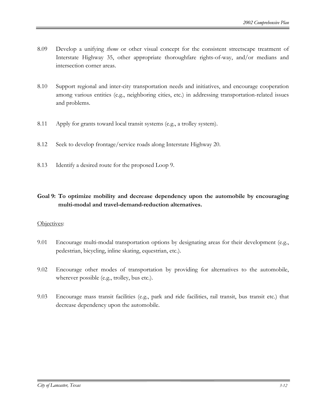- 8.09 Develop a unifying *theme* or other visual concept for the consistent streetscape treatment of Interstate Highway 35, other appropriate thoroughfare rights-of-way, and/or medians and intersection corner areas.
- 8.10 Support regional and inter-city transportation needs and initiatives, and encourage cooperation among various entities (e.g., neighboring cities, etc.) in addressing transportation-related issues and problems.
- 8.11 Apply for grants toward local transit systems (e.g., a trolley system).
- 8.12 Seek to develop frontage/service roads along Interstate Highway 20.
- 8.13 Identify a desired route for the proposed Loop 9.

#### **Goal 9: To optimize mobility and decrease dependency upon the automobile by encouraging multi-modal and travel-demand-reduction alternatives.**

- 9.01 Encourage multi-modal transportation options by designating areas for their development (e.g., pedestrian, bicycling, inline skating, equestrian, etc.).
- 9.02 Encourage other modes of transportation by providing for alternatives to the automobile, wherever possible (e.g., trolley, bus etc.).
- 9.03 Encourage mass transit facilities (e.g., park and ride facilities, rail transit, bus transit etc.) that decrease dependency upon the automobile.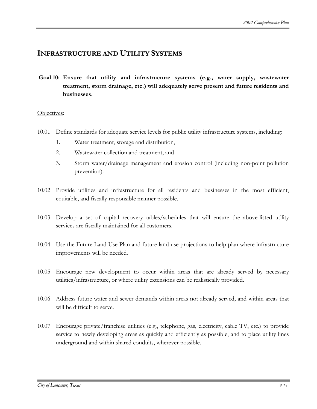## **INFRASTRUCTURE AND UTILITY SYSTEMS**

**Goal 10: Ensure that utility and infrastructure systems (e.g., water supply, wastewater treatment, storm drainage, etc.) will adequately serve present and future residents and businesses.**

- 10.01 Define standards for adequate service levels for public utility infrastructure systems, including:
	- 1. Water treatment, storage and distribution,
	- 2. Wastewater collection and treatment, and
	- 3. Storm water/drainage management and erosion control (including non-point pollution prevention).
- 10.02 Provide utilities and infrastructure for all residents and businesses in the most efficient, equitable, and fiscally responsible manner possible.
- 10.03 Develop a set of capital recovery tables/schedules that will ensure the above-listed utility services are fiscally maintained for all customers.
- 10.04 Use the Future Land Use Plan and future land use projections to help plan where infrastructure improvements will be needed.
- 10.05 Encourage new development to occur within areas that are already served by necessary utilities/infrastructure, or where utility extensions can be realistically provided.
- 10.06 Address future water and sewer demands within areas not already served, and within areas that will be difficult to serve.
- 10.07 Encourage private/franchise utilities (e.g., telephone, gas, electricity, cable TV, etc.) to provide service to newly developing areas as quickly and efficiently as possible, and to place utility lines underground and within shared conduits, wherever possible.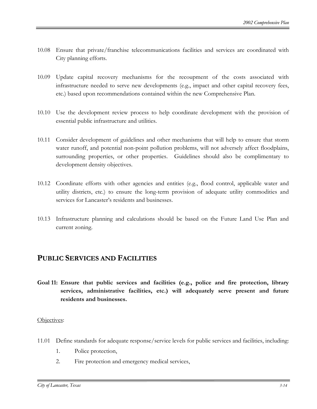- 10.08 Ensure that private/franchise telecommunications facilities and services are coordinated with City planning efforts.
- 10.09 Update capital recovery mechanisms for the recoupment of the costs associated with infrastructure needed to serve new developments (e.g., impact and other capital recovery fees, etc.) based upon recommendations contained within the new Comprehensive Plan.
- 10.10 Use the development review process to help coordinate development with the provision of essential public infrastructure and utilities.
- 10.11 Consider development of guidelines and other mechanisms that will help to ensure that storm water runoff, and potential non-point pollution problems, will not adversely affect floodplains, surrounding properties, or other properties. Guidelines should also be complimentary to development density objectives.
- 10.12 Coordinate efforts with other agencies and entities (e.g., flood control, applicable water and utility districts, etc.) to ensure the long-term provision of adequate utility commodities and services for Lancaster's residents and businesses.
- 10.13 Infrastructure planning and calculations should be based on the Future Land Use Plan and current zoning.

## **PUBLIC SERVICES AND FACILITIES**

**Goal 11: Ensure that public services and facilities (e.g., police and fire protection, library services, administrative facilities, etc.) will adequately serve present and future residents and businesses.**

- 11.01 Define standards for adequate response/service levels for public services and facilities, including:
	- 1. Police protection,
	- 2. Fire protection and emergency medical services,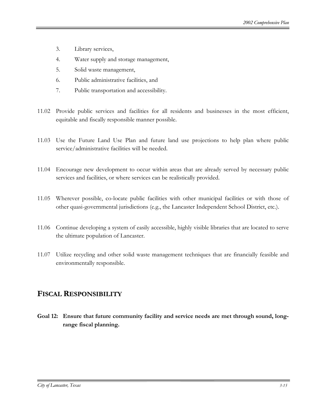- 3. Library services,
- 4. Water supply and storage management,
- 5. Solid waste management,
- 6. Public administrative facilities, and
- 7. Public transportation and accessibility.
- 11.02 Provide public services and facilities for all residents and businesses in the most efficient, equitable and fiscally responsible manner possible.
- 11.03 Use the Future Land Use Plan and future land use projections to help plan where public service/administrative facilities will be needed.
- 11.04 Encourage new development to occur within areas that are already served by necessary public services and facilities, or where services can be realistically provided.
- 11.05 Wherever possible, co-locate public facilities with other municipal facilities or with those of other quasi-governmental jurisdictions (e.g., the Lancaster Independent School District, etc.).
- 11.06 Continue developing a system of easily accessible, highly visible libraries that are located to serve the ultimate population of Lancaster.
- 11.07 Utilize recycling and other solid waste management techniques that are financially feasible and environmentally responsible.

## **FISCALRESPONSIBILITY**

**Goal 12: Ensure that future community facility and service needs are met through sound, longrange fiscal planning.**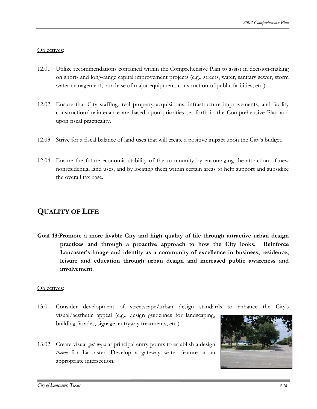#### Objectives:

- 12.01 Utilize recommendations contained within the Comprehensive Plan to assist in decision-making on short- and long-range capital improvement projects (e.g., streets, water, sanitary sewer, storm water management, purchase of major equipment, construction of public facilities, etc.).
- 12.02 Ensure that City staffing, real property acquisitions, infrastructure improvements, and facility construction/maintenance are based upon priorities set forth in the Comprehensive Plan and upon fiscal practicality.
- 12.03 Strive for a fiscal balance of land uses that will create a positive impact upon the City's budget.
- 12.04 Ensure the future economic stability of the community by encouraging the attraction of new nonresidential land uses, and by locating them within certain areas to help support and subsidize the overall tax base.

## **QUALITY OF LIFE**

**Goal 13:Promote a more livable City and high quality of life through attractive urban design practices and through a proactive approach to how the City looks. Reinforce Lancaster's image and identity as a community of excellence in business, residence, leisure and education through urban design and increased public awareness and involvement.**

- 13.01 Consider development of streetscape/urban design standards to enhance the City's visual/aesthetic appeal (e.g., design guidelines for landscaping, building facades, signage, entryway treatments, etc.).
- 13.02 Create visual *gateways* at principal entry points to establish a design *theme* for Lancaster. Develop a gateway water feature at an appropriate intersection.

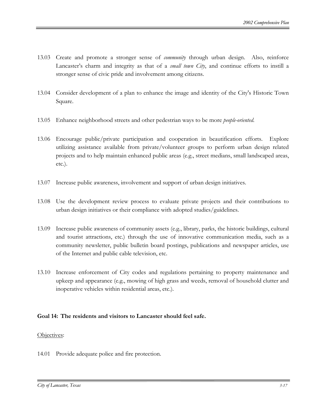- 13.03 Create and promote a stronger sense of *community* through urban design. Also, reinforce Lancaster's charm and integrity as that of a *small town City*, and continue efforts to instill a stronger sense of civic pride and involvement among citizens.
- 13.04 Consider development of a plan to enhance the image and identity of the City's Historic Town Square.
- 13.05 Enhance neighborhood streets and other pedestrian ways to be more *people-oriented*.
- 13.06 Encourage public/private participation and cooperation in beautification efforts. Explore utilizing assistance available from private/volunteer groups to perform urban design related projects and to help maintain enhanced public areas (e.g., street medians, small landscaped areas, etc.).
- 13.07 Increase public awareness, involvement and support of urban design initiatives.
- 13.08 Use the development review process to evaluate private projects and their contributions to urban design initiatives or their compliance with adopted studies/guidelines.
- 13.09 Increase public awareness of community assets (e.g., library, parks, the historic buildings, cultural and tourist attractions, etc.) through the use of innovative communication media, such as a community newsletter, public bulletin board postings, publications and newspaper articles, use of the Internet and public cable television, etc.
- 13.10 Increase enforcement of City codes and regulations pertaining to property maintenance and upkeep and appearance (e.g., mowing of high grass and weeds, removal of household clutter and inoperative vehicles within residential areas, etc.).

#### **Goal 14: The residents and visitors to Lancaster should feel safe.**

#### Objectives:

14.01 Provide adequate police and fire protection.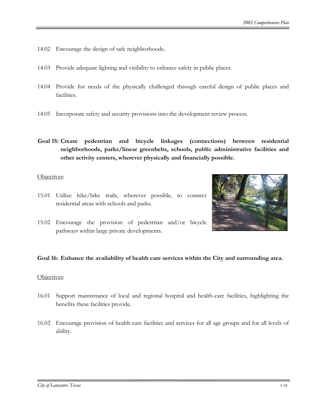- 14.02 Encourage the design of safe neighborhoods.
- 14.03 Provide adequate lighting and visibility to enhance safety in public places.
- 14.04 Provide for needs of the physically challenged through careful design of public places and facilities.
- 14.05 Incorporate safety and security provisions into the development review process.
- **Goal 15: Create pedestrian and bicycle linkages (connections) between residential neighborhoods, parks/linear greenbelts, schools, public administrative facilities and other activity centers, wherever physically and financially possible.**

#### Objectives:

15.01 Utilize hike/bike trails, wherever possible, to connect residential areas with schools and parks.



15.02 Encourage the provision of pedestrian and/or bicycle pathways within large private developments.

#### **Goal 16: Enhance the availability of health care services within the City and surrounding area.**

- 16.01 Support maintenance of local and regional hospital and health-care facilities, highlighting the benefits these facilities provide.
- 16.02 Encourage provision of health-care facilities and services for all age groups and for all levels of ability.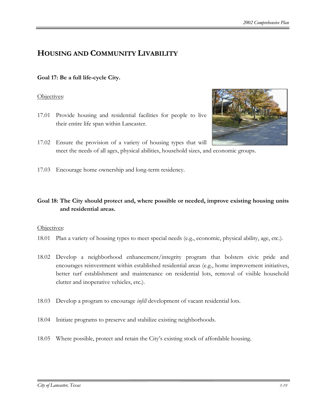## **HOUSING AND COMMUNITY LIVABILITY**

#### **Goal 17: Be a full life-cycle City.**

#### Objectives:

- 17.01 Provide housing and residential facilities for people to live their entire life span within Lancaster.
- 17.02 Ensure the provision of a variety of housing types that will meet the needs of all ages, physical abilities, household sizes, and economic groups.
- 17.03 Encourage home ownership and long-term residency.

#### **Goal 18: The City should protect and, where possible or needed, improve existing housing units and residential areas.**

- 18.01 Plan a variety of housing types to meet special needs (e.g., economic, physical ability, age, etc.).
- 18.02 Develop a neighborhood enhancement/integrity program that bolsters civic pride and encourages reinvestment within established residential areas (e.g., home improvement initiatives, better turf establishment and maintenance on residential lots, removal of visible household clutter and inoperative vehicles, etc.).
- 18.03 Develop a program to encourage *infill* development of vacant residential lots.
- 18.04 Initiate programs to preserve and stabilize existing neighborhoods.
- 18.05 Where possible, protect and retain the City's existing stock of affordable housing.